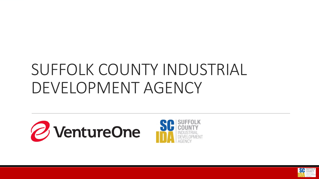## SUFFOLK COUNTY INDUSTRIAL DEVELOPMENT AGENCY





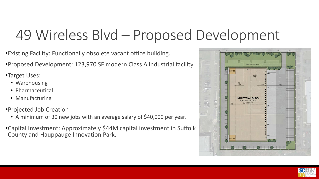### 49 Wireless Blvd – Proposed Development

•Existing Facility: Functionally obsolete vacant office building.

•Proposed Development: 123,970 SF modern Class A industrial facility

•Target Uses:

- Warehousing
- Pharmaceutical
- Manufacturing
- •Projected Job Creation
	- A minimum of 30 new jobs with an average salary of \$40,000 per year.
- •Capital Investment: Approximately \$44M capital investment in Suffolk County and Hauppauge Innovation Park.



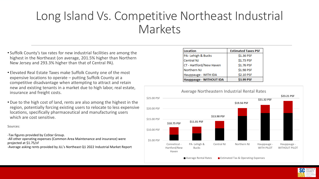#### Long Island Vs. Competitive Northeast Industrial Markets

- Suffolk County's tax rates for new industrial facilities are among the highest in the Northeast (on average, 201.5% higher than Northern New Jersey and 293.3% higher than that of Central PA).
- Elevated Real Estate Taxes make Suffolk County one of the most expensive locations to operate – putting Suffolk County at a competitive disadvantage when attempting to attract and retain new and existing tenants in a market due to high labor, real estate, insurance and freight costs.
- Due to the high cost of land, rents are also among the highest in the region, potentially forcing existing users to relocate to less expensive locations, specifically pharmaceutical and manufacturing users which are cost sensitive.

Sources:

-Tax figures provided by CoStar Group.

-All other operating expenses (Common Area Maintenance and insurance) were projected at \$1.75/sf

-Average asking rents provided by JLL's Northeast Q1 2022 Industrial Market Report

| Location                | <b>Estimated Taxes PSF</b> |  |  |  |  |  |
|-------------------------|----------------------------|--|--|--|--|--|
| PA-Lehigh & Bucks       | \$1.36 PSF                 |  |  |  |  |  |
| <b>Central NJ</b>       | \$1.73 PSF                 |  |  |  |  |  |
| CT - Hartford/New Haven | \$1.76 PSF                 |  |  |  |  |  |
| Northern NJ             | \$1.98 PSF                 |  |  |  |  |  |
| Hauppauge - WITH IDA    | \$2.10 PSF                 |  |  |  |  |  |
| Hauppauge - WITHOUT IDA | \$3.99 PSF                 |  |  |  |  |  |



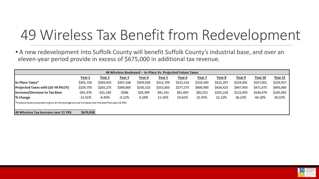## 49 Wireless Tax Benefit from Redevelopment

• A new redevelopment into Suffolk County will benefit Suffolk County's industrial base, and over an eleven-year period provide in excess of \$675,000 in additional tax revenue.

| 49 Wireless Boulevard -- In-Place Vs. Projected Future Taxes                                     |            |               |               |           |           |           |           |           |           |           |           |
|--------------------------------------------------------------------------------------------------|------------|---------------|---------------|-----------|-----------|-----------|-----------|-----------|-----------|-----------|-----------|
|                                                                                                  | Year 1     | <u>Year 2</u> | <u>Year 3</u> | Year 4    | Year 5    | Year 6    | Year 7    | Year 8    | Year 9    | Year 10   | Year 11   |
| In-Place Taxes*                                                                                  | \$301,726  | \$304,435     | \$307,168     | \$309,926 | \$312,709 | \$315,516 | \$318,349 | \$321,207 | \$324,091 | \$327,001 | \$329,937 |
| <b>Projected Taxes with (10-YR PILOT)</b>                                                        | \$259,750  | \$283,275     | \$306,800     | \$330,325 | \$353,850 | \$377,375 | \$400,900 | \$424,425 | \$447,950 | \$471,475 | \$495,000 |
| Increase/Decrease to Tax Base                                                                    | -\$41,976  | $-$ \$21,160  | -\$368        | \$20,399  | \$41,141  | \$61,859  | \$82,551  | \$103,218 | \$123,859 | \$144,474 | \$165,063 |
| % Change                                                                                         | $-13.91\%$ | $-6.95%$      | $-0.12%$      | 6.58%     | 13.16%    | 19.61%    | 25.93%    | 32.13%    | 38.22%    | 44.18%    | 50.03%    |
| *In-place taxes projected to grow at the average annual increase over the past five years (0.9%) |            |               |               |           |           |           |           |           |           |           |           |
|                                                                                                  |            |               |               |           |           |           |           |           |           |           |           |
| 49 Wireless Tax Increase over 11 YRS                                                             | \$679,058  |               |               |           |           |           |           |           |           |           |           |